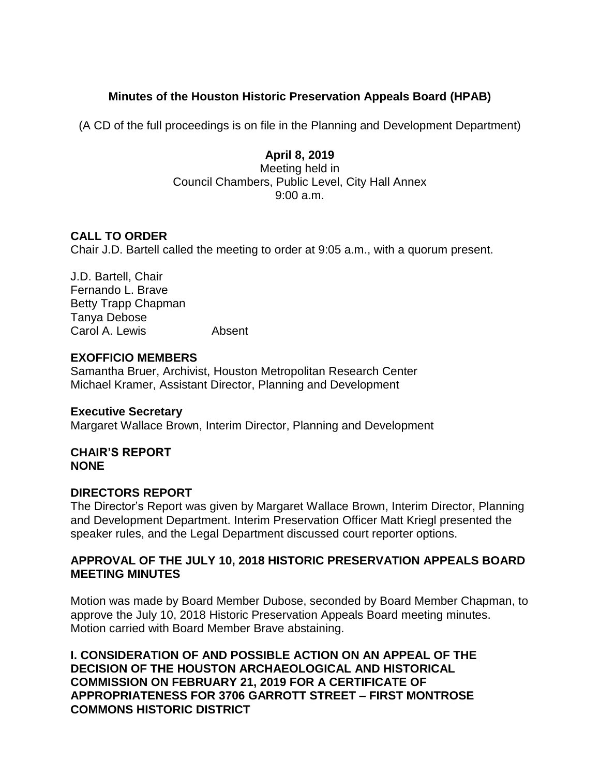# **Minutes of the Houston Historic Preservation Appeals Board (HPAB)**

(A CD of the full proceedings is on file in the Planning and Development Department)

## **April 8, 2019**

Meeting held in Council Chambers, Public Level, City Hall Annex 9:00 a.m.

## **CALL TO ORDER**

Chair J.D. Bartell called the meeting to order at 9:05 a.m., with a quorum present.

J.D. Bartell, Chair Fernando L. Brave Betty Trapp Chapman Tanya Debose Carol A. Lewis **Absent** 

## **EXOFFICIO MEMBERS**

Samantha Bruer, Archivist, Houston Metropolitan Research Center Michael Kramer, Assistant Director, Planning and Development

### **Executive Secretary**

Margaret Wallace Brown, Interim Director, Planning and Development

### **CHAIR'S REPORT NONE**

## **DIRECTORS REPORT**

The Director's Report was given by Margaret Wallace Brown, Interim Director, Planning and Development Department. Interim Preservation Officer Matt Kriegl presented the speaker rules, and the Legal Department discussed court reporter options.

## **APPROVAL OF THE JULY 10, 2018 HISTORIC PRESERVATION APPEALS BOARD MEETING MINUTES**

Motion was made by Board Member Dubose, seconded by Board Member Chapman, to approve the July 10, 2018 Historic Preservation Appeals Board meeting minutes. Motion carried with Board Member Brave abstaining.

**I. CONSIDERATION OF AND POSSIBLE ACTION ON AN APPEAL OF THE DECISION OF THE HOUSTON ARCHAEOLOGICAL AND HISTORICAL COMMISSION ON FEBRUARY 21, 2019 FOR A CERTIFICATE OF APPROPRIATENESS FOR 3706 GARROTT STREET – FIRST MONTROSE COMMONS HISTORIC DISTRICT**